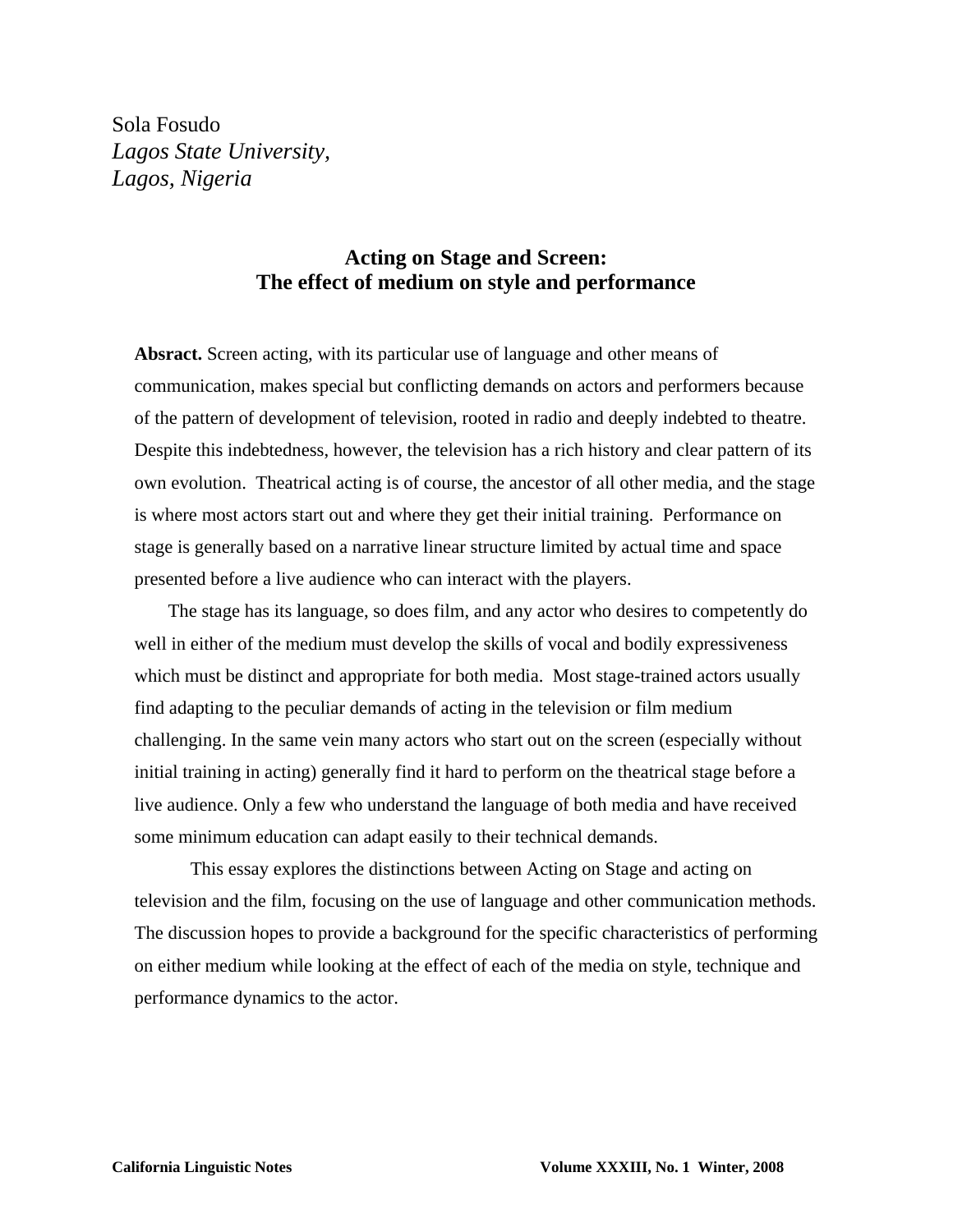Sola Fosudo *Lagos State University, Lagos, Nigeria* 

# **Acting on Stage and Screen: The effect of medium on style and performance**

**Absract.** Screen acting, with its particular use of language and other means of communication, makes special but conflicting demands on actors and performers because of the pattern of development of television, rooted in radio and deeply indebted to theatre. Despite this indebtedness, however, the television has a rich history and clear pattern of its own evolution. Theatrical acting is of course, the ancestor of all other media, and the stage is where most actors start out and where they get their initial training. Performance on stage is generally based on a narrative linear structure limited by actual time and space presented before a live audience who can interact with the players.

The stage has its language, so does film, and any actor who desires to competently do well in either of the medium must develop the skills of vocal and bodily expressiveness which must be distinct and appropriate for both media. Most stage-trained actors usually find adapting to the peculiar demands of acting in the television or film medium challenging. In the same vein many actors who start out on the screen (especially without initial training in acting) generally find it hard to perform on the theatrical stage before a live audience. Only a few who understand the language of both media and have received some minimum education can adapt easily to their technical demands.

This essay explores the distinctions between Acting on Stage and acting on television and the film, focusing on the use of language and other communication methods. The discussion hopes to provide a background for the specific characteristics of performing on either medium while looking at the effect of each of the media on style, technique and performance dynamics to the actor.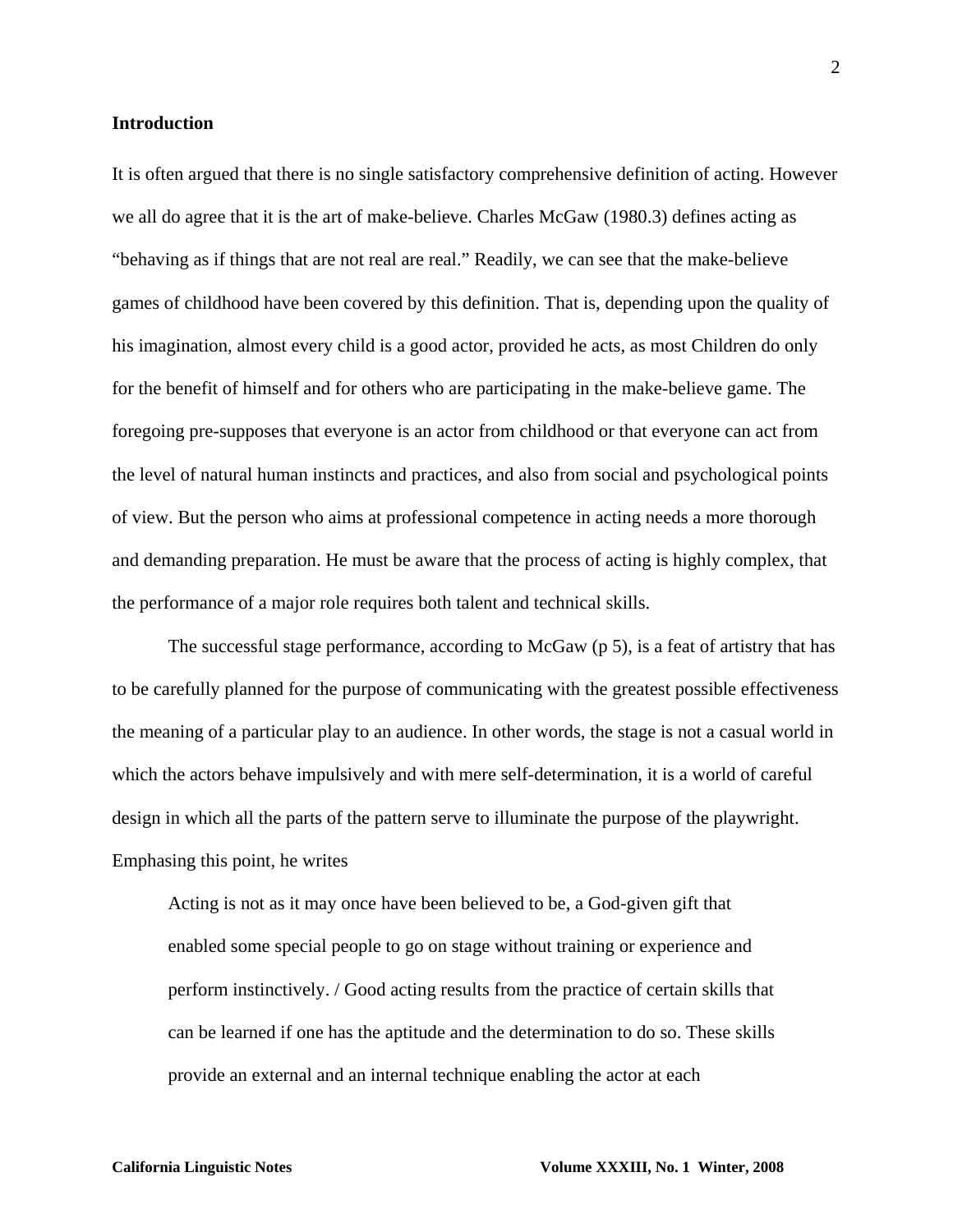# **Introduction**

It is often argued that there is no single satisfactory comprehensive definition of acting. However we all do agree that it is the art of make-believe. Charles McGaw (1980.3) defines acting as "behaving as if things that are not real are real." Readily, we can see that the make-believe games of childhood have been covered by this definition. That is, depending upon the quality of his imagination, almost every child is a good actor, provided he acts, as most Children do only for the benefit of himself and for others who are participating in the make-believe game. The foregoing pre-supposes that everyone is an actor from childhood or that everyone can act from the level of natural human instincts and practices, and also from social and psychological points of view. But the person who aims at professional competence in acting needs a more thorough and demanding preparation. He must be aware that the process of acting is highly complex, that the performance of a major role requires both talent and technical skills.

The successful stage performance, according to McGaw (p 5), is a feat of artistry that has to be carefully planned for the purpose of communicating with the greatest possible effectiveness the meaning of a particular play to an audience. In other words, the stage is not a casual world in which the actors behave impulsively and with mere self-determination, it is a world of careful design in which all the parts of the pattern serve to illuminate the purpose of the playwright. Emphasing this point, he writes

Acting is not as it may once have been believed to be, a God-given gift that enabled some special people to go on stage without training or experience and perform instinctively. / Good acting results from the practice of certain skills that can be learned if one has the aptitude and the determination to do so. These skills provide an external and an internal technique enabling the actor at each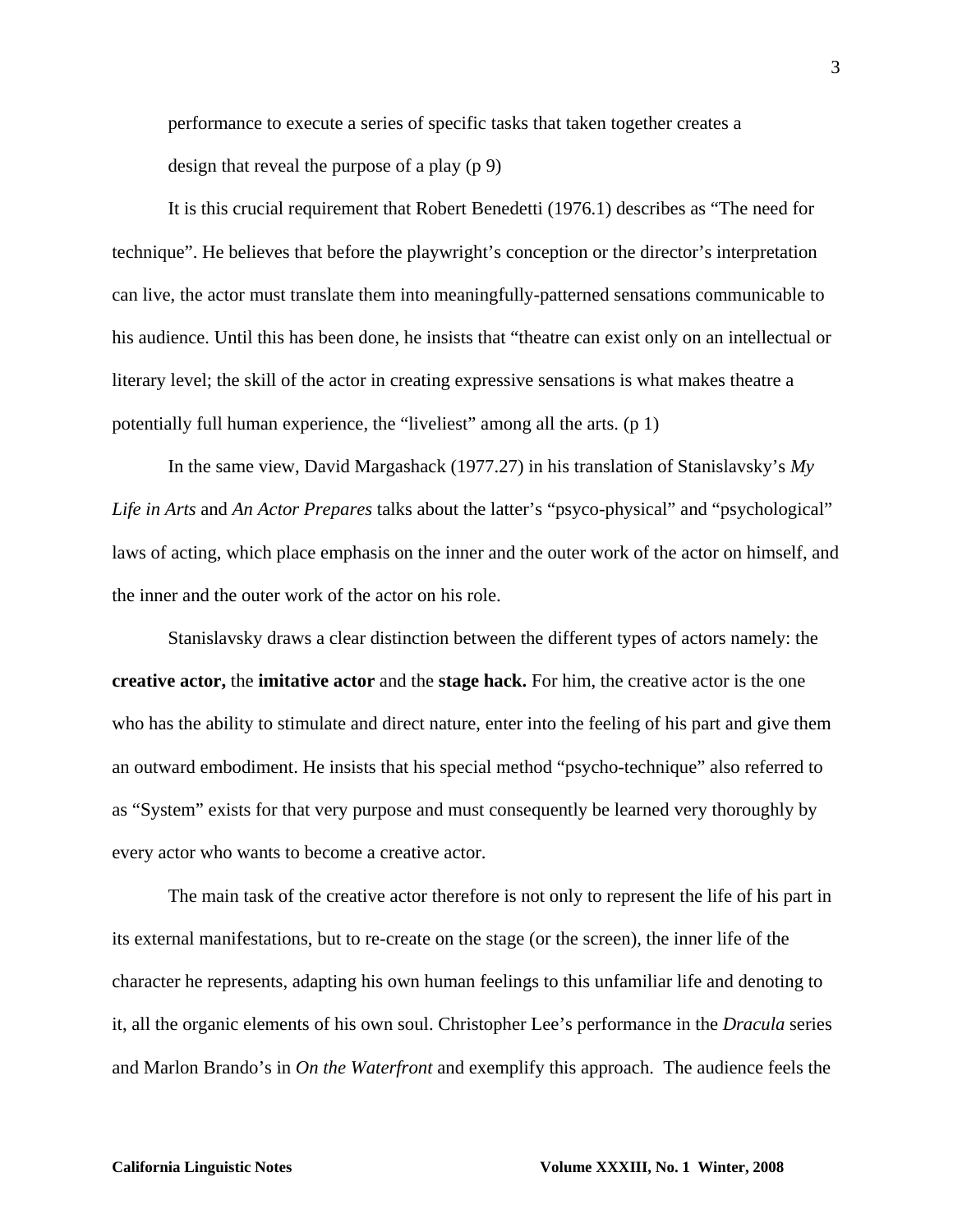performance to execute a series of specific tasks that taken together creates a design that reveal the purpose of a play (p 9)

It is this crucial requirement that Robert Benedetti (1976.1) describes as "The need for technique". He believes that before the playwright's conception or the director's interpretation can live, the actor must translate them into meaningfully-patterned sensations communicable to his audience. Until this has been done, he insists that "theatre can exist only on an intellectual or literary level; the skill of the actor in creating expressive sensations is what makes theatre a potentially full human experience, the "liveliest" among all the arts. (p 1)

In the same view, David Margashack (1977.27) in his translation of Stanislavsky's *My Life in Arts* and *An Actor Prepares* talks about the latter's "psyco-physical" and "psychological" laws of acting, which place emphasis on the inner and the outer work of the actor on himself, and the inner and the outer work of the actor on his role.

Stanislavsky draws a clear distinction between the different types of actors namely: the **creative actor,** the **imitative actor** and the **stage hack.** For him, the creative actor is the one who has the ability to stimulate and direct nature, enter into the feeling of his part and give them an outward embodiment. He insists that his special method "psycho-technique" also referred to as "System" exists for that very purpose and must consequently be learned very thoroughly by every actor who wants to become a creative actor.

The main task of the creative actor therefore is not only to represent the life of his part in its external manifestations, but to re-create on the stage (or the screen), the inner life of the character he represents, adapting his own human feelings to this unfamiliar life and denoting to it, all the organic elements of his own soul. Christopher Lee's performance in the *Dracula* series and Marlon Brando's in *On the Waterfront* and exemplify this approach. The audience feels the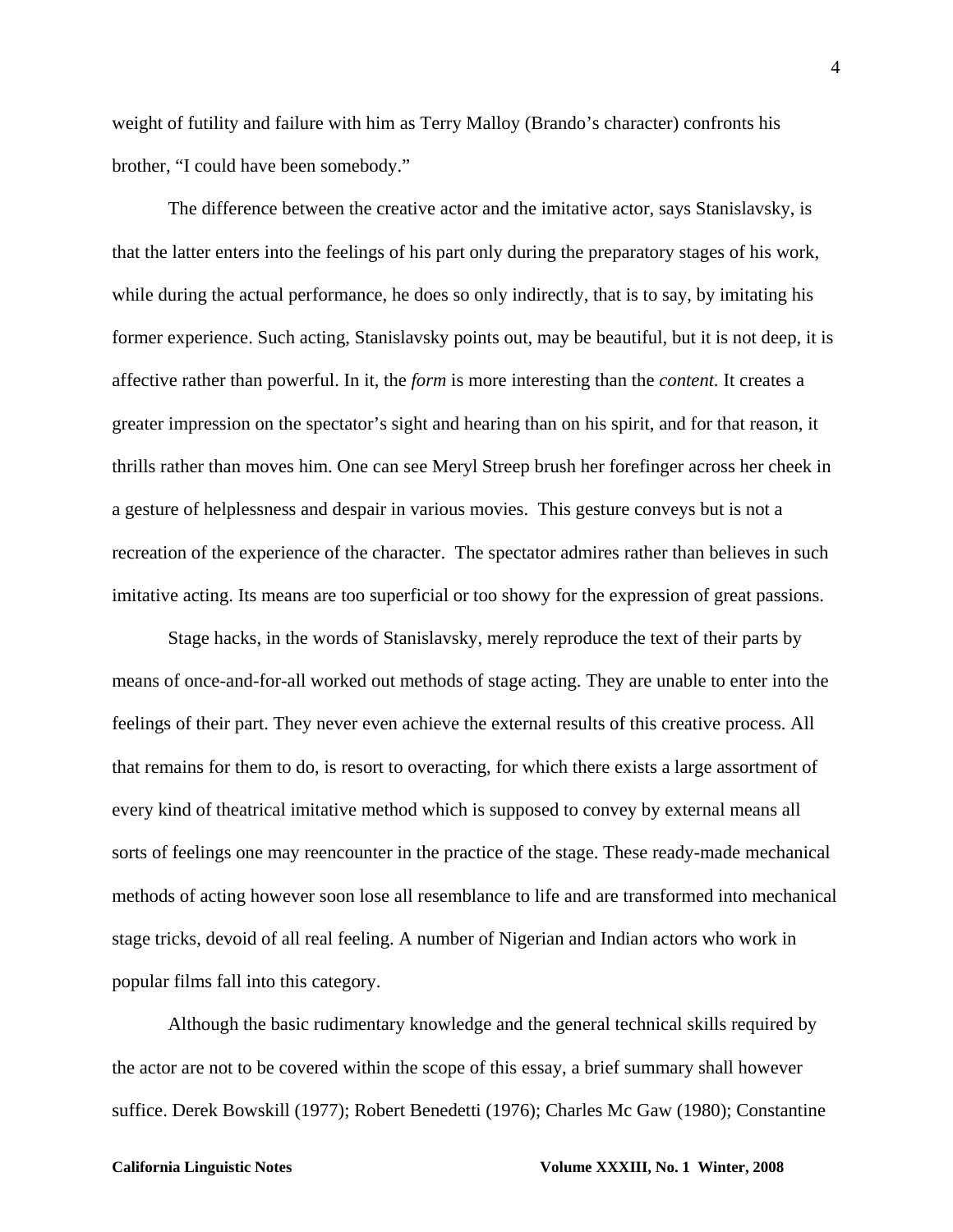weight of futility and failure with him as Terry Malloy (Brando's character) confronts his brother, "I could have been somebody."

The difference between the creative actor and the imitative actor, says Stanislavsky, is that the latter enters into the feelings of his part only during the preparatory stages of his work, while during the actual performance, he does so only indirectly, that is to say, by imitating his former experience. Such acting, Stanislavsky points out, may be beautiful, but it is not deep, it is affective rather than powerful. In it, the *form* is more interesting than the *content.* It creates a greater impression on the spectator's sight and hearing than on his spirit, and for that reason, it thrills rather than moves him. One can see Meryl Streep brush her forefinger across her cheek in a gesture of helplessness and despair in various movies. This gesture conveys but is not a recreation of the experience of the character. The spectator admires rather than believes in such imitative acting. Its means are too superficial or too showy for the expression of great passions.

Stage hacks, in the words of Stanislavsky, merely reproduce the text of their parts by means of once-and-for-all worked out methods of stage acting. They are unable to enter into the feelings of their part. They never even achieve the external results of this creative process. All that remains for them to do, is resort to overacting, for which there exists a large assortment of every kind of theatrical imitative method which is supposed to convey by external means all sorts of feelings one may reencounter in the practice of the stage. These ready-made mechanical methods of acting however soon lose all resemblance to life and are transformed into mechanical stage tricks, devoid of all real feeling. A number of Nigerian and Indian actors who work in popular films fall into this category.

Although the basic rudimentary knowledge and the general technical skills required by the actor are not to be covered within the scope of this essay, a brief summary shall however suffice. Derek Bowskill (1977); Robert Benedetti (1976); Charles Mc Gaw (1980); Constantine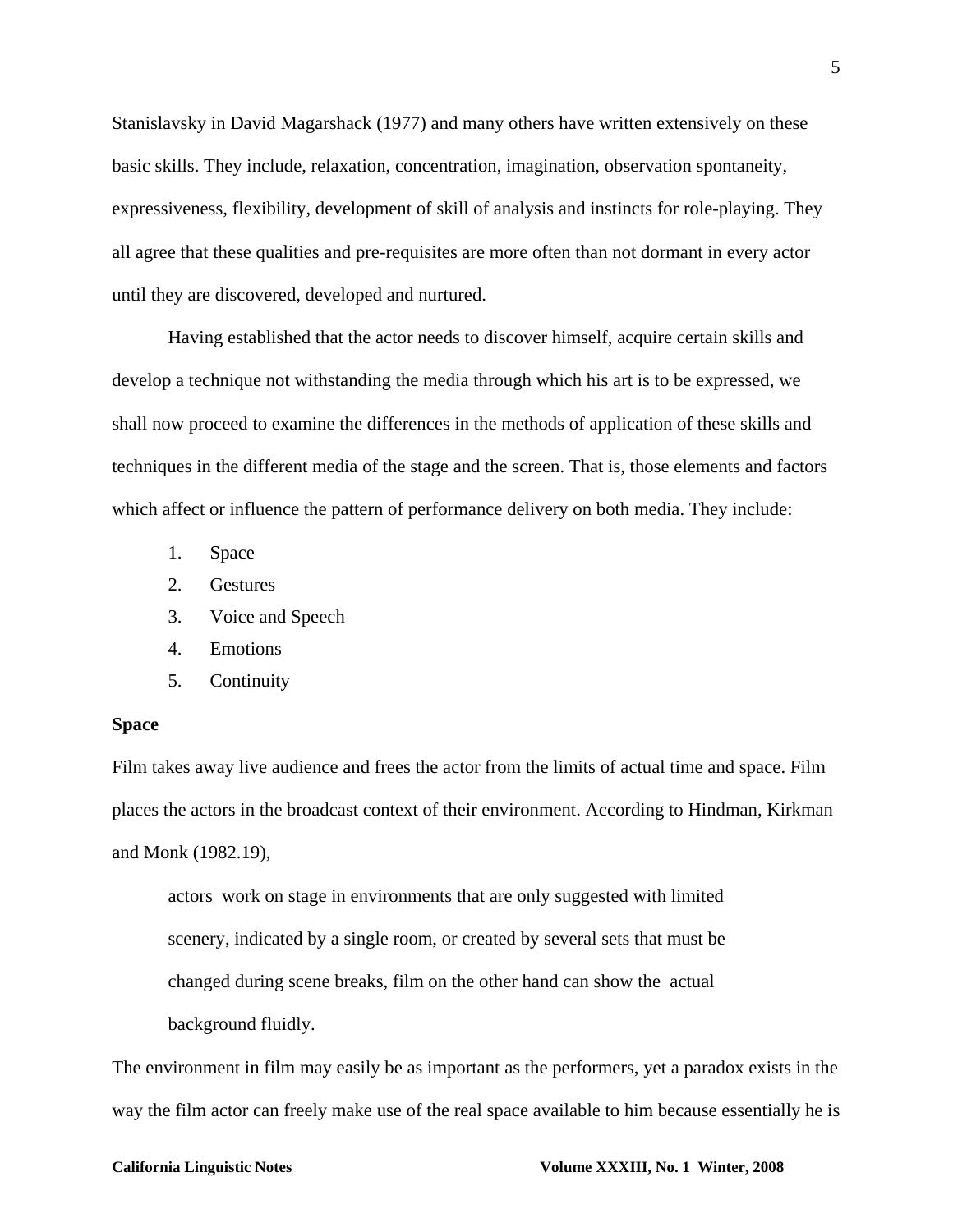Stanislavsky in David Magarshack (1977) and many others have written extensively on these basic skills. They include, relaxation, concentration, imagination, observation spontaneity, expressiveness, flexibility, development of skill of analysis and instincts for role-playing. They all agree that these qualities and pre-requisites are more often than not dormant in every actor until they are discovered, developed and nurtured.

Having established that the actor needs to discover himself, acquire certain skills and develop a technique not withstanding the media through which his art is to be expressed, we shall now proceed to examine the differences in the methods of application of these skills and techniques in the different media of the stage and the screen. That is, those elements and factors which affect or influence the pattern of performance delivery on both media. They include:

- 1. Space
- 2. Gestures
- 3. Voice and Speech
- 4. Emotions
- 5. Continuity

## **Space**

Film takes away live audience and frees the actor from the limits of actual time and space. Film places the actors in the broadcast context of their environment. According to Hindman, Kirkman and Monk (1982.19),

actors work on stage in environments that are only suggested with limited scenery, indicated by a single room, or created by several sets that must be changed during scene breaks, film on the other hand can show the actual background fluidly.

The environment in film may easily be as important as the performers, yet a paradox exists in the way the film actor can freely make use of the real space available to him because essentially he is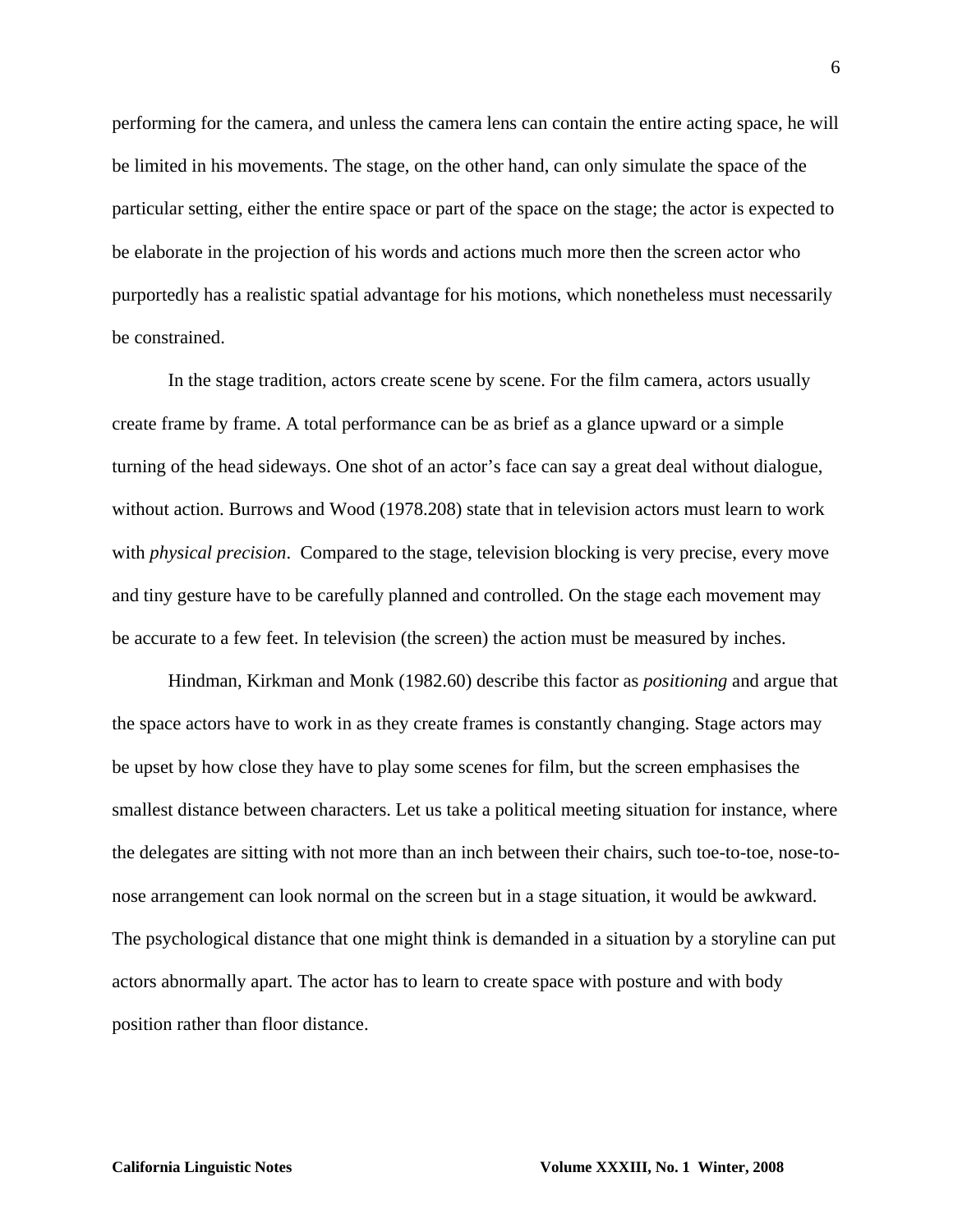performing for the camera, and unless the camera lens can contain the entire acting space, he will be limited in his movements. The stage, on the other hand, can only simulate the space of the particular setting, either the entire space or part of the space on the stage; the actor is expected to be elaborate in the projection of his words and actions much more then the screen actor who purportedly has a realistic spatial advantage for his motions, which nonetheless must necessarily be constrained.

In the stage tradition, actors create scene by scene. For the film camera, actors usually create frame by frame. A total performance can be as brief as a glance upward or a simple turning of the head sideways. One shot of an actor's face can say a great deal without dialogue, without action. Burrows and Wood (1978.208) state that in television actors must learn to work with *physical precision*. Compared to the stage, television blocking is very precise, every move and tiny gesture have to be carefully planned and controlled. On the stage each movement may be accurate to a few feet. In television (the screen) the action must be measured by inches.

Hindman, Kirkman and Monk (1982.60) describe this factor as *positioning* and argue that the space actors have to work in as they create frames is constantly changing. Stage actors may be upset by how close they have to play some scenes for film, but the screen emphasises the smallest distance between characters. Let us take a political meeting situation for instance, where the delegates are sitting with not more than an inch between their chairs, such toe-to-toe, nose-tonose arrangement can look normal on the screen but in a stage situation, it would be awkward. The psychological distance that one might think is demanded in a situation by a storyline can put actors abnormally apart. The actor has to learn to create space with posture and with body position rather than floor distance.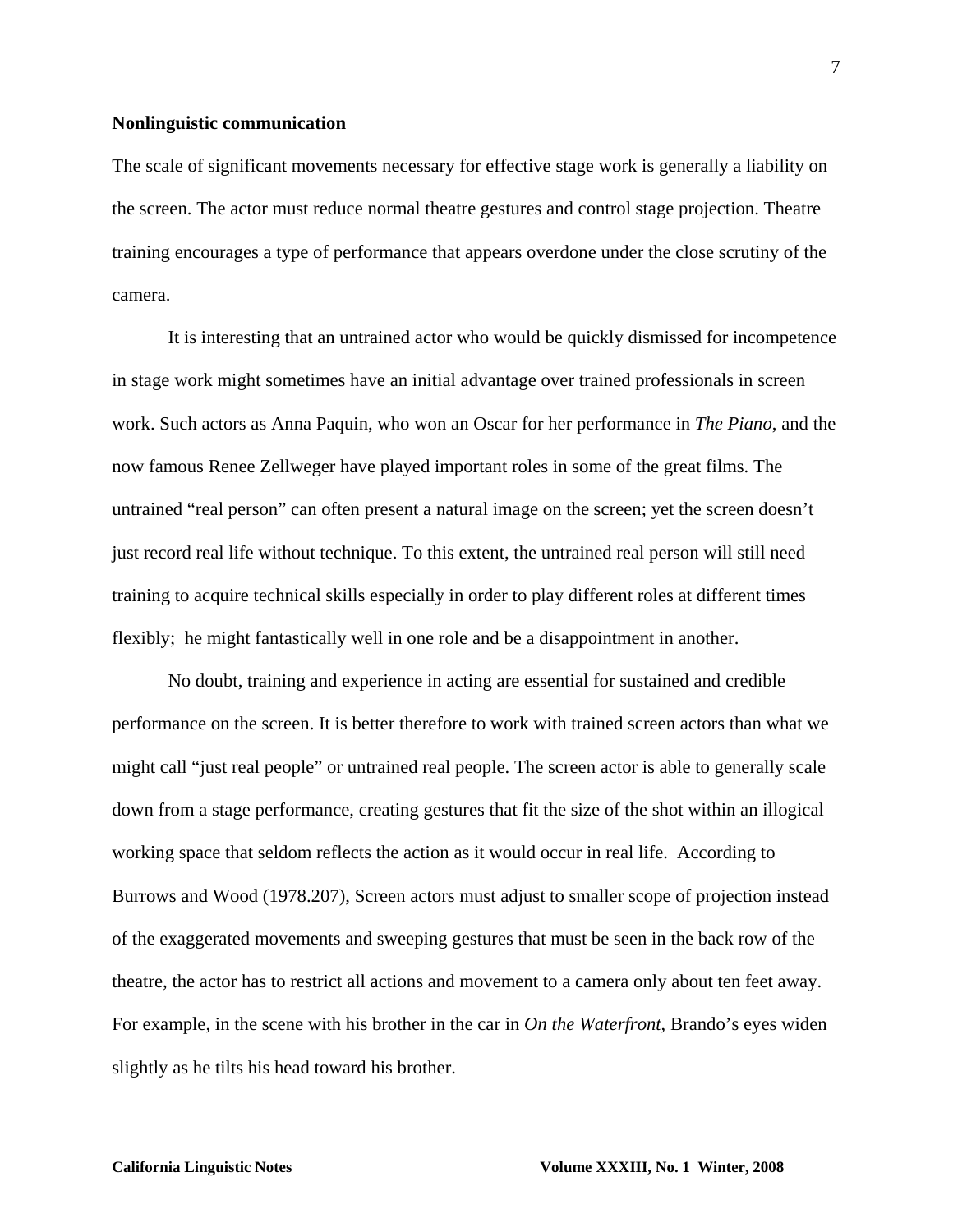### **Nonlinguistic communication**

The scale of significant movements necessary for effective stage work is generally a liability on the screen. The actor must reduce normal theatre gestures and control stage projection. Theatre training encourages a type of performance that appears overdone under the close scrutiny of the camera.

It is interesting that an untrained actor who would be quickly dismissed for incompetence in stage work might sometimes have an initial advantage over trained professionals in screen work. Such actors as Anna Paquin, who won an Oscar for her performance in *The Piano*, and the now famous Renee Zellweger have played important roles in some of the great films. The untrained "real person" can often present a natural image on the screen; yet the screen doesn't just record real life without technique. To this extent, the untrained real person will still need training to acquire technical skills especially in order to play different roles at different times flexibly; he might fantastically well in one role and be a disappointment in another.

No doubt, training and experience in acting are essential for sustained and credible performance on the screen. It is better therefore to work with trained screen actors than what we might call "just real people" or untrained real people. The screen actor is able to generally scale down from a stage performance, creating gestures that fit the size of the shot within an illogical working space that seldom reflects the action as it would occur in real life. According to Burrows and Wood (1978.207), Screen actors must adjust to smaller scope of projection instead of the exaggerated movements and sweeping gestures that must be seen in the back row of the theatre, the actor has to restrict all actions and movement to a camera only about ten feet away. For example, in the scene with his brother in the car in *On the Waterfront*, Brando's eyes widen slightly as he tilts his head toward his brother.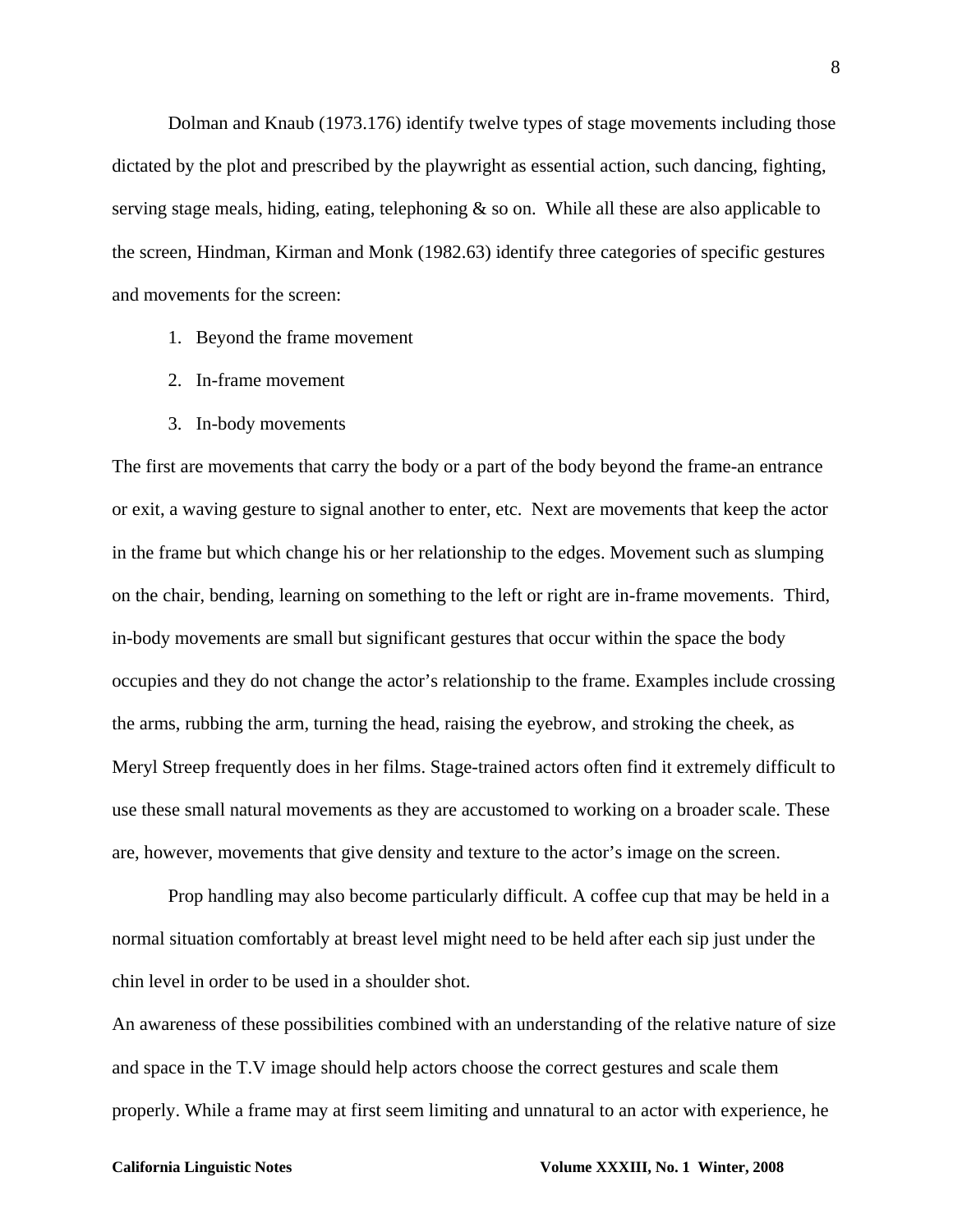Dolman and Knaub (1973.176) identify twelve types of stage movements including those dictated by the plot and prescribed by the playwright as essential action, such dancing, fighting, serving stage meals, hiding, eating, telephoning  $\&$  so on. While all these are also applicable to the screen, Hindman, Kirman and Monk (1982.63) identify three categories of specific gestures and movements for the screen:

- 1. Beyond the frame movement
- 2. In-frame movement
- 3. In-body movements

The first are movements that carry the body or a part of the body beyond the frame-an entrance or exit, a waving gesture to signal another to enter, etc. Next are movements that keep the actor in the frame but which change his or her relationship to the edges. Movement such as slumping on the chair, bending, learning on something to the left or right are in-frame movements. Third, in-body movements are small but significant gestures that occur within the space the body occupies and they do not change the actor's relationship to the frame. Examples include crossing the arms, rubbing the arm, turning the head, raising the eyebrow, and stroking the cheek, as Meryl Streep frequently does in her films. Stage-trained actors often find it extremely difficult to use these small natural movements as they are accustomed to working on a broader scale. These are, however, movements that give density and texture to the actor's image on the screen.

Prop handling may also become particularly difficult. A coffee cup that may be held in a normal situation comfortably at breast level might need to be held after each sip just under the chin level in order to be used in a shoulder shot.

An awareness of these possibilities combined with an understanding of the relative nature of size and space in the T.V image should help actors choose the correct gestures and scale them properly. While a frame may at first seem limiting and unnatural to an actor with experience, he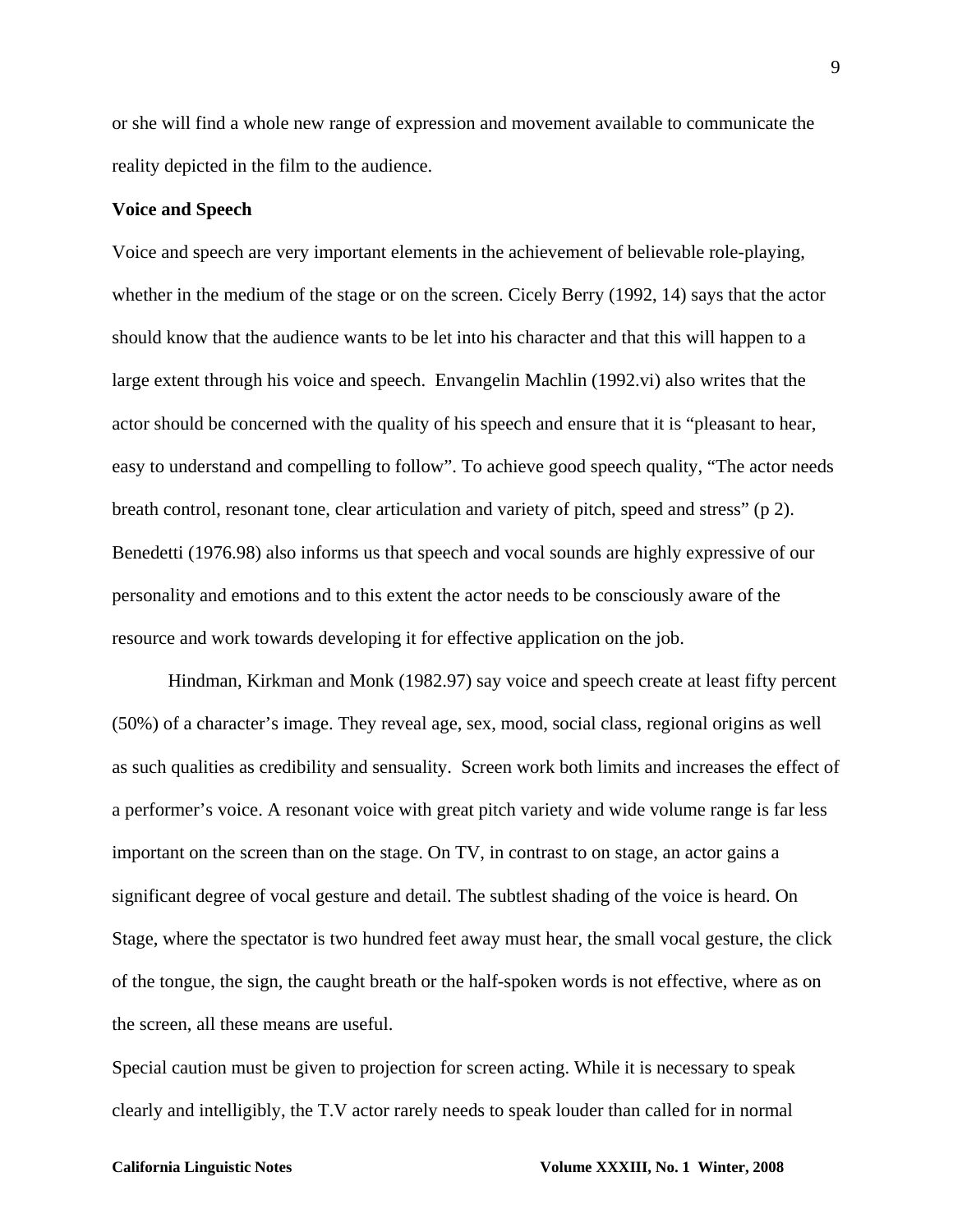or she will find a whole new range of expression and movement available to communicate the reality depicted in the film to the audience.

# **Voice and Speech**

Voice and speech are very important elements in the achievement of believable role-playing, whether in the medium of the stage or on the screen. Cicely Berry (1992, 14) says that the actor should know that the audience wants to be let into his character and that this will happen to a large extent through his voice and speech. Envangelin Machlin (1992.vi) also writes that the actor should be concerned with the quality of his speech and ensure that it is "pleasant to hear, easy to understand and compelling to follow". To achieve good speech quality, "The actor needs breath control, resonant tone, clear articulation and variety of pitch, speed and stress" (p 2). Benedetti (1976.98) also informs us that speech and vocal sounds are highly expressive of our personality and emotions and to this extent the actor needs to be consciously aware of the resource and work towards developing it for effective application on the job.

 Hindman, Kirkman and Monk (1982.97) say voice and speech create at least fifty percent (50%) of a character's image. They reveal age, sex, mood, social class, regional origins as well as such qualities as credibility and sensuality. Screen work both limits and increases the effect of a performer's voice. A resonant voice with great pitch variety and wide volume range is far less important on the screen than on the stage. On TV, in contrast to on stage, an actor gains a significant degree of vocal gesture and detail. The subtlest shading of the voice is heard. On Stage, where the spectator is two hundred feet away must hear, the small vocal gesture, the click of the tongue, the sign, the caught breath or the half-spoken words is not effective, where as on the screen, all these means are useful.

Special caution must be given to projection for screen acting. While it is necessary to speak clearly and intelligibly, the T.V actor rarely needs to speak louder than called for in normal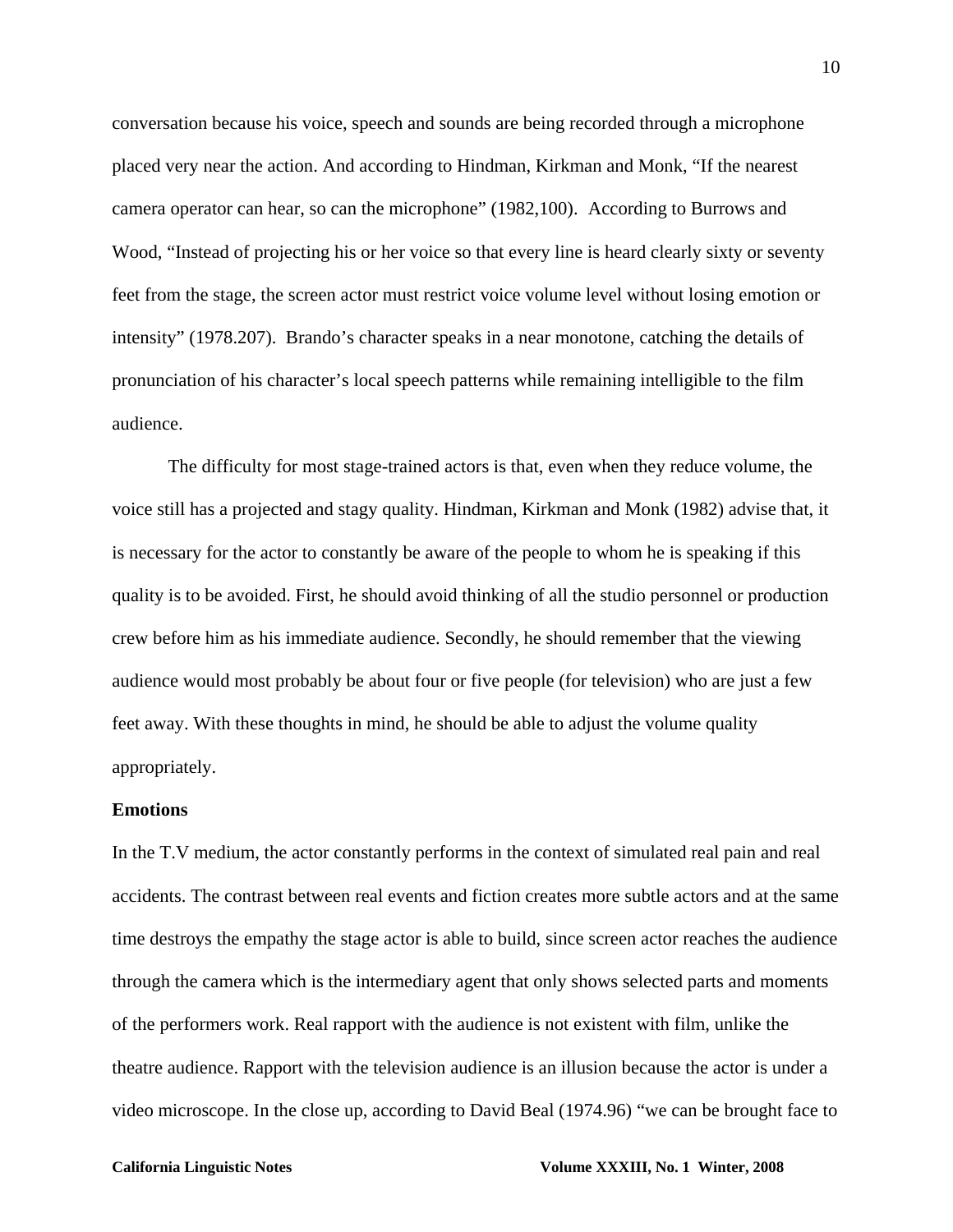conversation because his voice, speech and sounds are being recorded through a microphone placed very near the action. And according to Hindman, Kirkman and Monk, "If the nearest camera operator can hear, so can the microphone" (1982,100). According to Burrows and Wood, "Instead of projecting his or her voice so that every line is heard clearly sixty or seventy feet from the stage, the screen actor must restrict voice volume level without losing emotion or intensity" (1978.207). Brando's character speaks in a near monotone, catching the details of pronunciation of his character's local speech patterns while remaining intelligible to the film audience.

The difficulty for most stage-trained actors is that, even when they reduce volume, the voice still has a projected and stagy quality. Hindman, Kirkman and Monk (1982) advise that, it is necessary for the actor to constantly be aware of the people to whom he is speaking if this quality is to be avoided. First, he should avoid thinking of all the studio personnel or production crew before him as his immediate audience. Secondly, he should remember that the viewing audience would most probably be about four or five people (for television) who are just a few feet away. With these thoughts in mind, he should be able to adjust the volume quality appropriately.

# **Emotions**

In the T.V medium, the actor constantly performs in the context of simulated real pain and real accidents. The contrast between real events and fiction creates more subtle actors and at the same time destroys the empathy the stage actor is able to build, since screen actor reaches the audience through the camera which is the intermediary agent that only shows selected parts and moments of the performers work. Real rapport with the audience is not existent with film, unlike the theatre audience. Rapport with the television audience is an illusion because the actor is under a video microscope. In the close up, according to David Beal (1974.96) "we can be brought face to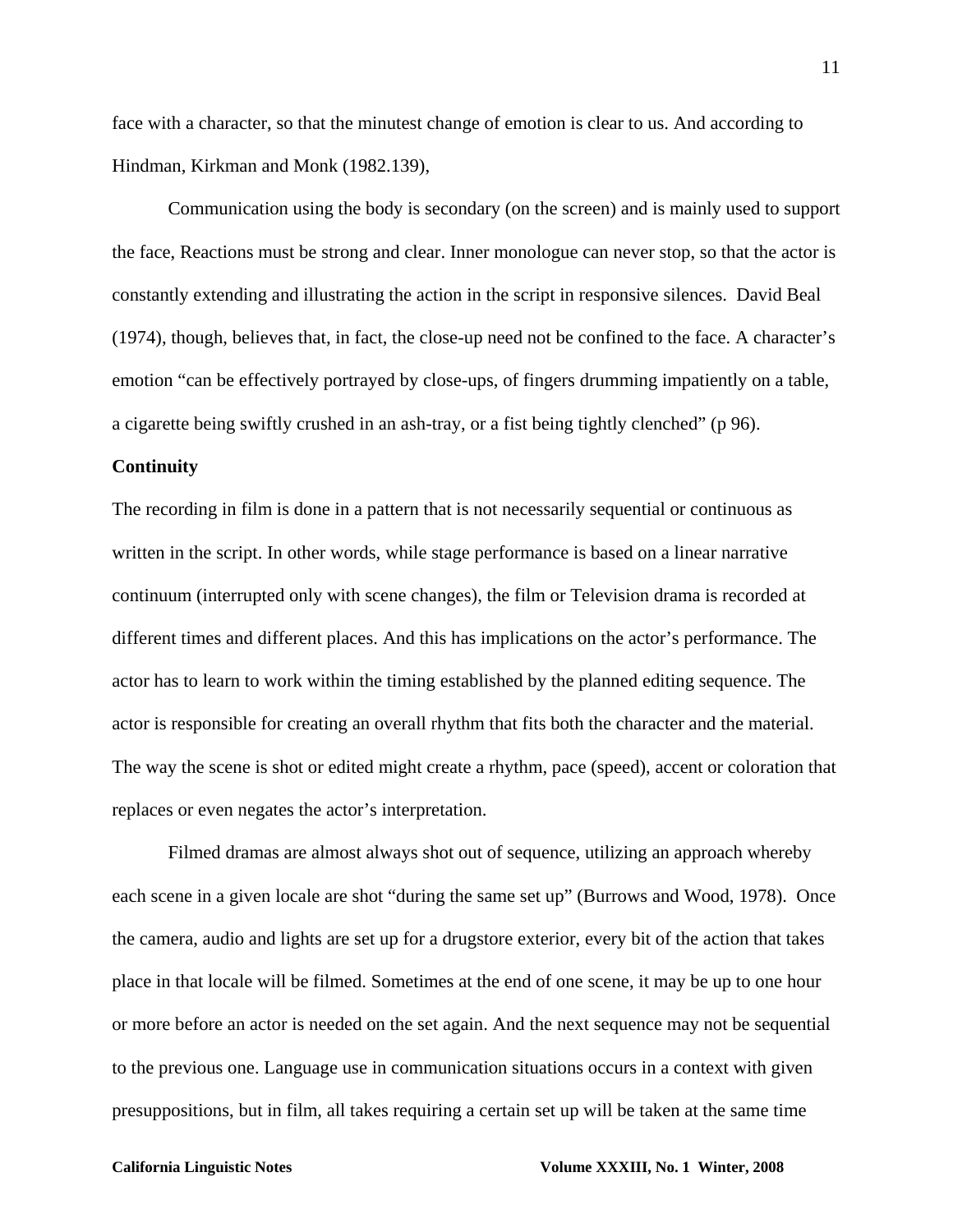face with a character, so that the minutest change of emotion is clear to us. And according to Hindman, Kirkman and Monk (1982.139),

Communication using the body is secondary (on the screen) and is mainly used to support the face, Reactions must be strong and clear. Inner monologue can never stop, so that the actor is constantly extending and illustrating the action in the script in responsive silences. David Beal (1974), though, believes that, in fact, the close-up need not be confined to the face. A character's emotion "can be effectively portrayed by close-ups, of fingers drumming impatiently on a table, a cigarette being swiftly crushed in an ash-tray, or a fist being tightly clenched" (p 96).

## **Continuity**

The recording in film is done in a pattern that is not necessarily sequential or continuous as written in the script. In other words, while stage performance is based on a linear narrative continuum (interrupted only with scene changes), the film or Television drama is recorded at different times and different places. And this has implications on the actor's performance. The actor has to learn to work within the timing established by the planned editing sequence. The actor is responsible for creating an overall rhythm that fits both the character and the material. The way the scene is shot or edited might create a rhythm, pace (speed), accent or coloration that replaces or even negates the actor's interpretation.

Filmed dramas are almost always shot out of sequence, utilizing an approach whereby each scene in a given locale are shot "during the same set up" (Burrows and Wood, 1978). Once the camera, audio and lights are set up for a drugstore exterior, every bit of the action that takes place in that locale will be filmed. Sometimes at the end of one scene, it may be up to one hour or more before an actor is needed on the set again. And the next sequence may not be sequential to the previous one. Language use in communication situations occurs in a context with given presuppositions, but in film, all takes requiring a certain set up will be taken at the same time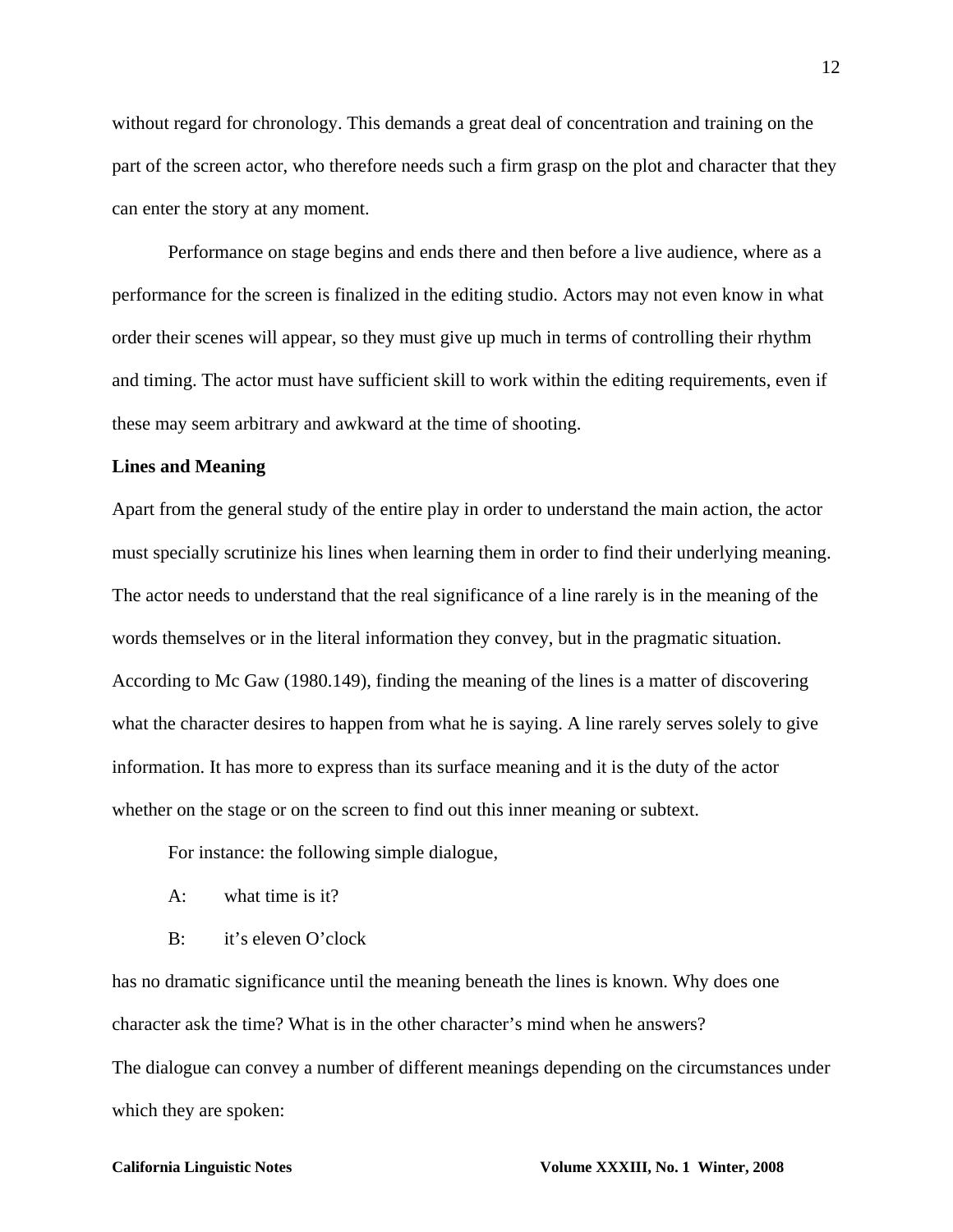without regard for chronology. This demands a great deal of concentration and training on the part of the screen actor, who therefore needs such a firm grasp on the plot and character that they can enter the story at any moment.

Performance on stage begins and ends there and then before a live audience, where as a performance for the screen is finalized in the editing studio. Actors may not even know in what order their scenes will appear, so they must give up much in terms of controlling their rhythm and timing. The actor must have sufficient skill to work within the editing requirements, even if these may seem arbitrary and awkward at the time of shooting.

# **Lines and Meaning**

Apart from the general study of the entire play in order to understand the main action, the actor must specially scrutinize his lines when learning them in order to find their underlying meaning. The actor needs to understand that the real significance of a line rarely is in the meaning of the words themselves or in the literal information they convey, but in the pragmatic situation. According to Mc Gaw (1980.149), finding the meaning of the lines is a matter of discovering what the character desires to happen from what he is saying. A line rarely serves solely to give information. It has more to express than its surface meaning and it is the duty of the actor whether on the stage or on the screen to find out this inner meaning or subtext.

For instance: the following simple dialogue,

- A: what time is it?
- B: it's eleven O'clock

has no dramatic significance until the meaning beneath the lines is known. Why does one character ask the time? What is in the other character's mind when he answers? The dialogue can convey a number of different meanings depending on the circumstances under which they are spoken: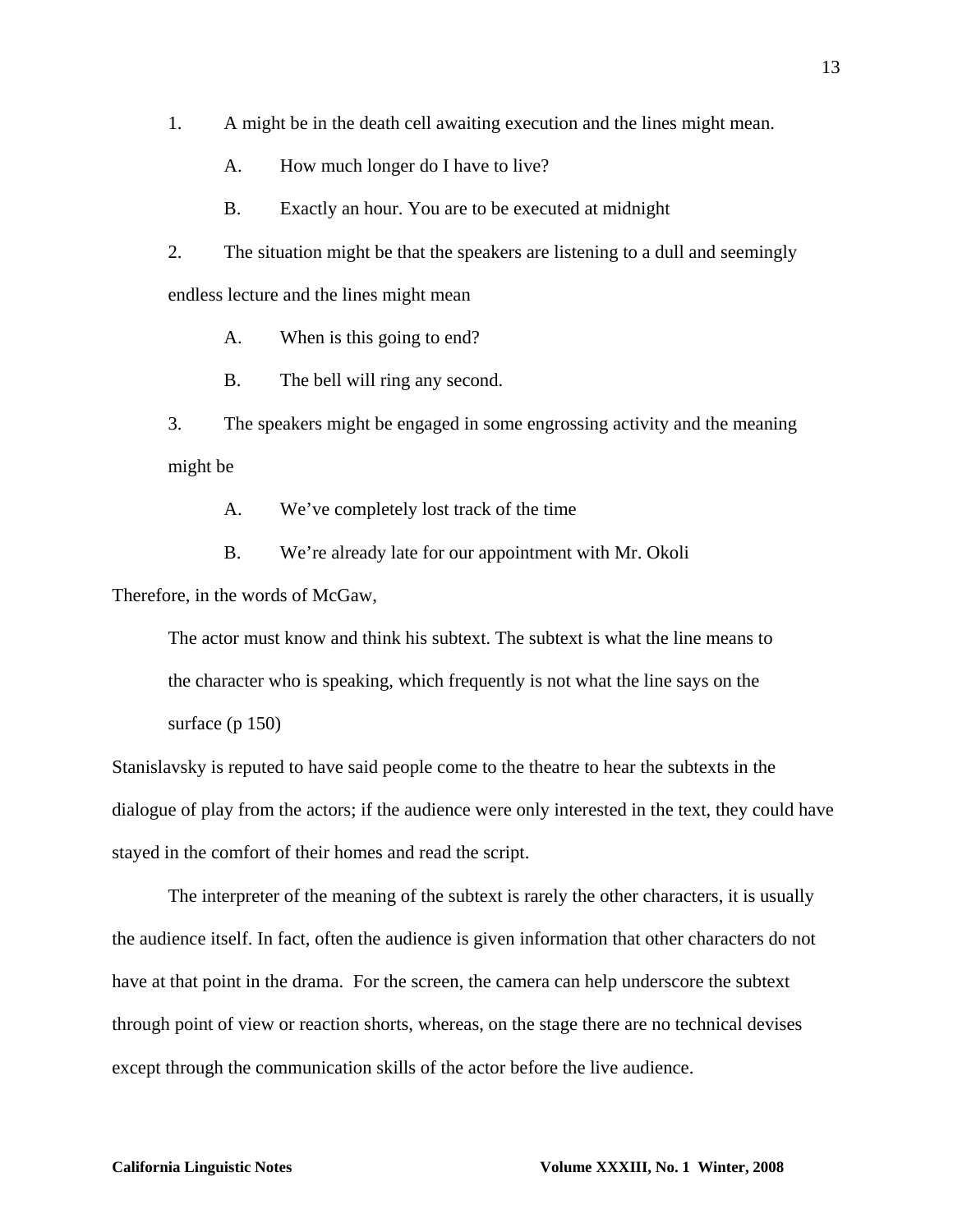- 1. A might be in the death cell awaiting execution and the lines might mean.
	- A. How much longer do I have to live?
	- B. Exactly an hour. You are to be executed at midnight

2. The situation might be that the speakers are listening to a dull and seemingly endless lecture and the lines might mean

- A. When is this going to end?
- B. The bell will ring any second.

3. The speakers might be engaged in some engrossing activity and the meaning might be

- A. We've completely lost track of the time
- B. We're already late for our appointment with Mr. Okoli

Therefore, in the words of McGaw,

The actor must know and think his subtext. The subtext is what the line means to the character who is speaking, which frequently is not what the line says on the surface (p 150)

Stanislavsky is reputed to have said people come to the theatre to hear the subtexts in the dialogue of play from the actors; if the audience were only interested in the text, they could have stayed in the comfort of their homes and read the script.

The interpreter of the meaning of the subtext is rarely the other characters, it is usually the audience itself. In fact, often the audience is given information that other characters do not have at that point in the drama. For the screen, the camera can help underscore the subtext through point of view or reaction shorts, whereas, on the stage there are no technical devises except through the communication skills of the actor before the live audience.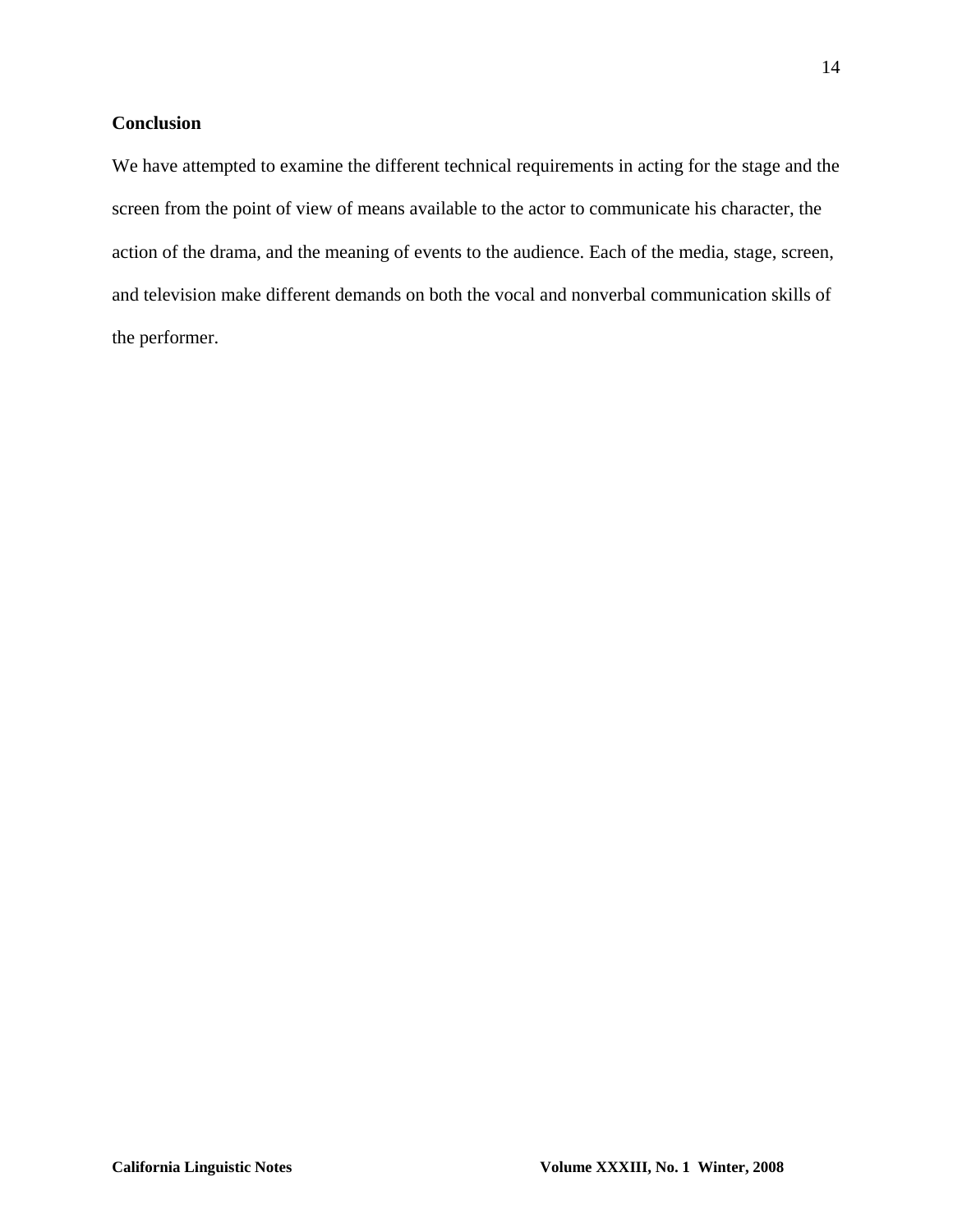# **Conclusion**

We have attempted to examine the different technical requirements in acting for the stage and the screen from the point of view of means available to the actor to communicate his character, the action of the drama, and the meaning of events to the audience. Each of the media, stage, screen, and television make different demands on both the vocal and nonverbal communication skills of the performer.